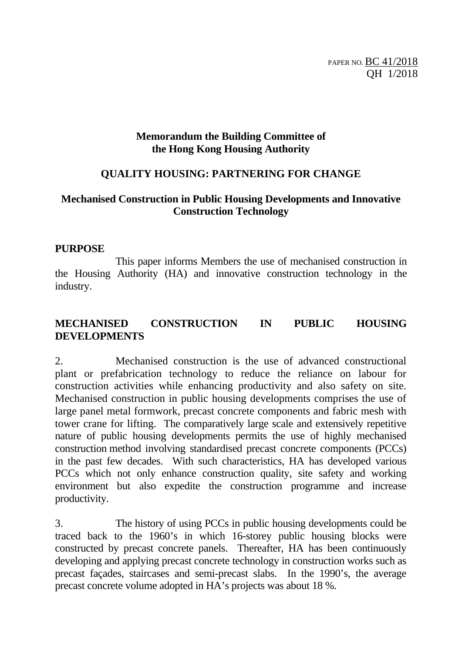PAPER NO. BC 41/2018 QH 1/2018

#### **Memorandum the Building Committee of the Hong Kong Housing Authority**

#### **QUALITY HOUSING: PARTNERING FOR CHANGE**

## **Mechanised Construction in Public Housing Developments and Innovative Construction Technology**

#### **PURPOSE**

 This paper informs Members the use of mechanised construction in the Housing Authority (HA) and innovative construction technology in the industry.

#### **MECHANISED CONSTRUCTION IN PUBLIC HOUSING DEVELOPMENTS**

2. Mechanised construction is the use of advanced constructional plant or prefabrication technology to reduce the reliance on labour for construction activities while enhancing productivity and also safety on site. Mechanised construction in public housing developments comprises the use of large panel metal formwork, precast concrete components and fabric mesh with tower crane for lifting. The comparatively large scale and extensively repetitive nature of public housing developments permits the use of highly mechanised construction method involving standardised precast concrete components (PCCs) in the past few decades. With such characteristics, HA has developed various PCCs which not only enhance construction quality, site safety and working environment but also expedite the construction programme and increase productivity.

3. The history of using PCCs in public housing developments could be traced back to the 1960's in which 16-storey public housing blocks were constructed by precast concrete panels. Thereafter, HA has been continuously developing and applying precast concrete technology in construction works such as precast façades, staircases and semi-precast slabs. In the 1990's, the average precast concrete volume adopted in HA's projects was about 18 %.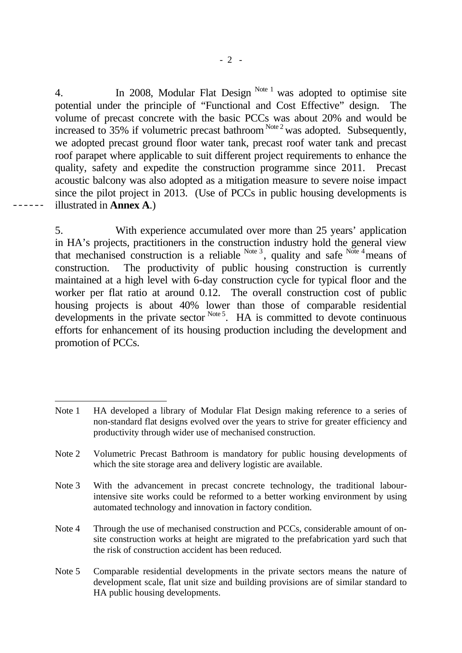4. In 2008, Modular Flat Design  $N^{ote 1}$  was adopted to optimise site potential under the principle of "Functional and Cost Effective" design. The volume of precast concrete with the basic PCCs was about 20% and would be increased to 35% if volumetric precast bathroom  $N^{Oite 2}$  was adopted. Subsequently, we adopted precast ground floor water tank, precast roof water tank and precast roof parapet where applicable to suit different project requirements to enhance the quality, safety and expedite the construction programme since 2011. Precast acoustic balcony was also adopted as a mitigation measure to severe noise impact since the pilot project in 2013. (Use of PCCs in public housing developments is illustrated in **Annex A**.)

5. With experience accumulated over more than 25 years' application in HA's projects, practitioners in the construction industry hold the general view that mechanised construction is a reliable  $Note^3$ , quality and safe  $Note^4$  means of construction. The productivity of public housing construction is currently maintained at a high level with 6-day construction cycle for typical floor and the worker per flat ratio at around 0.12. The overall construction cost of public housing projects is about 40% lower than those of comparable residential developments in the private sector  $N<sub>ote</sub> 5$ . HA is committed to devote continuous efforts for enhancement of its housing production including the development and promotion of PCCs.

 $- - - -$ 

Note 1 HA developed a library of Modular Flat Design making reference to a series of non-standard flat designs evolved over the years to strive for greater efficiency and productivity through wider use of mechanised construction.

Note 2 Volumetric Precast Bathroom is mandatory for public housing developments of which the site storage area and delivery logistic are available.

Note 3 With the advancement in precast concrete technology, the traditional labourintensive site works could be reformed to a better working environment by using automated technology and innovation in factory condition.

Note 4 Through the use of mechanised construction and PCCs, considerable amount of onsite construction works at height are migrated to the prefabrication yard such that the risk of construction accident has been reduced.

Note 5 Comparable residential developments in the private sectors means the nature of development scale, flat unit size and building provisions are of similar standard to HA public housing developments.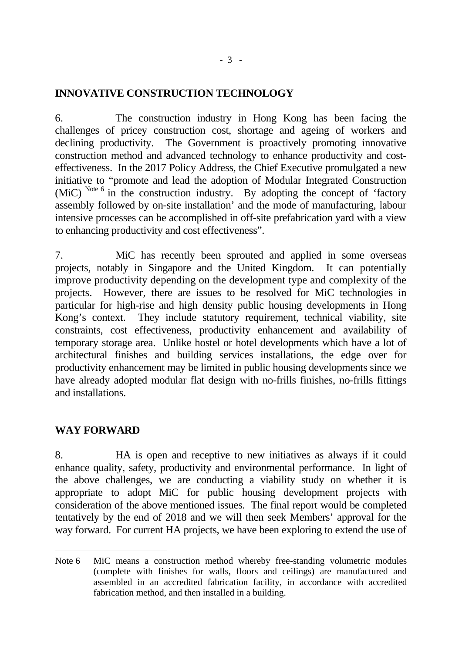### **INNOVATIVE CONSTRUCTION TECHNOLOGY**

6. The construction industry in Hong Kong has been facing the challenges of pricey construction cost, shortage and ageing of workers and declining productivity. The Government is proactively promoting innovative construction method and advanced technology to enhance productivity and costeffectiveness. In the 2017 Policy Address, the Chief Executive promulgated a new initiative to "promote and lead the adoption of Modular Integrated Construction (MiC) Note  $6 \text{ in the construction industry.}$  By adopting the concept of 'factory assembly followed by on-site installation' and the mode of manufacturing, labour intensive processes can be accomplished in off-site prefabrication yard with a view to enhancing productivity and cost effectiveness".

7. MiC has recently been sprouted and applied in some overseas projects, notably in Singapore and the United Kingdom. It can potentially improve productivity depending on the development type and complexity of the projects. However, there are issues to be resolved for MiC technologies in particular for high-rise and high density public housing developments in Hong Kong's context. They include statutory requirement, technical viability, site constraints, cost effectiveness, productivity enhancement and availability of temporary storage area. Unlike hostel or hotel developments which have a lot of architectural finishes and building services installations, the edge over for productivity enhancement may be limited in public housing developments since we have already adopted modular flat design with no-frills finishes, no-frills fittings and installations.

#### **WAY FORWARD**

8. HA is open and receptive to new initiatives as always if it could enhance quality, safety, productivity and environmental performance. In light of the above challenges, we are conducting a viability study on whether it is appropriate to adopt MiC for public housing development projects with consideration of the above mentioned issues. The final report would be completed tentatively by the end of 2018 and we will then seek Members' approval for the way forward. For current HA projects, we have been exploring to extend the use of

Note 6 MiC means a construction method whereby free-standing volumetric modules (complete with finishes for walls, floors and ceilings) are manufactured and assembled in an accredited fabrication facility, in accordance with accredited fabrication method, and then installed in a building.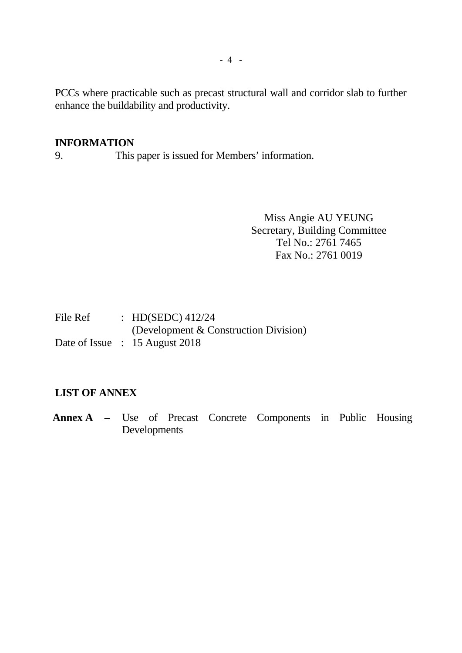PCCs where practicable such as precast structural wall and corridor slab to further enhance the buildability and productivity.

#### **INFORMATION**

9. This paper is issued for Members' information.

Miss Angie AU YEUNG Secretary, Building Committee Tel No.: 2761 7465 Fax No.: 2761 0019

| File Ref | : HD(SEDC) $412/24$                   |
|----------|---------------------------------------|
|          | (Development & Construction Division) |
|          | Date of Issue : 15 August 2018        |

#### **LIST OF ANNEX**

**Annex A –** Use of Precast Concrete Components in Public Housing Developments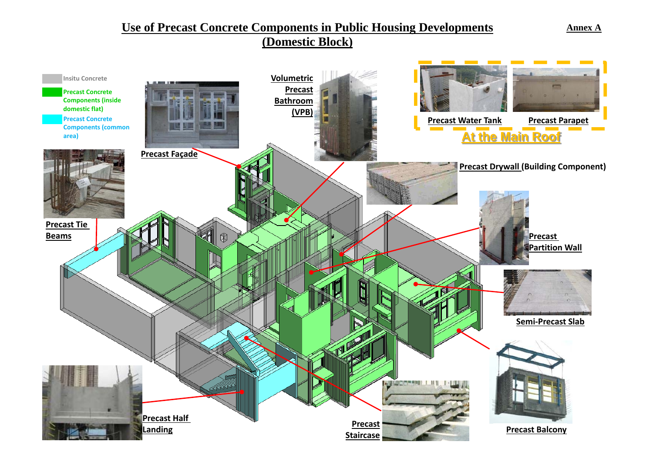# **Use of Precast Concrete Components in Public Housing Developments**

## **(Domestic Block)**